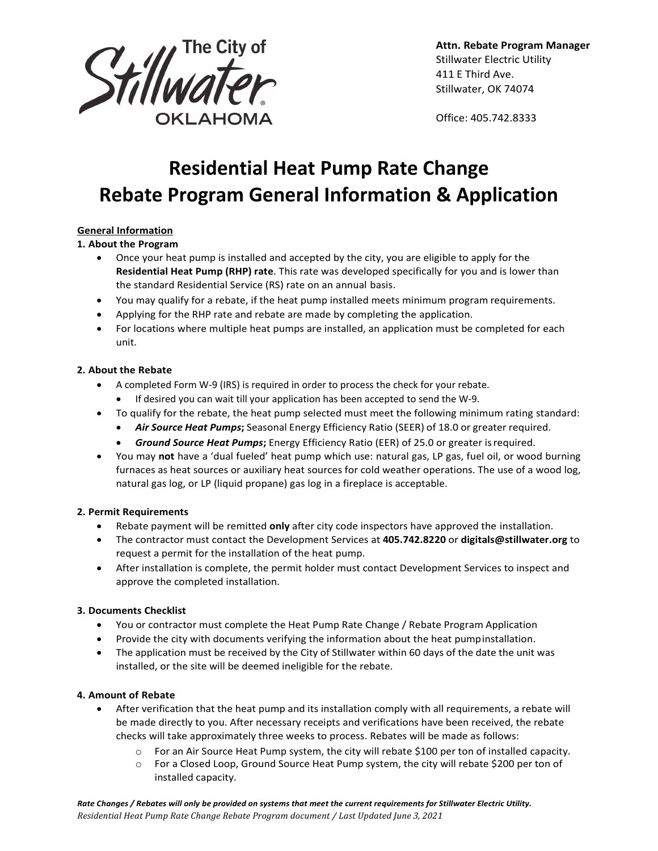

**Attn. Rebate Program Manager** Stillwater Electric Utility 411 E Third Ave. Stillwater, OK 74074

Office: 405.742.8333

# **Residential Heat Pump Rate Change Rebate Program General Information & Application**

### **General Information**

**1. About the Program**

- Once your heat pump is installed and accepted by the city, you are eligible to apply for the **Residential Heat Pump (RHP) rate**. This rate was developed specifically for you and is lower than the standard Residential Service (RS) rate on an annual basis.
- You may qualify for a rebate, if the heat pump installed meets minimum program requirements.
- Applying for the RHP rate and rebate are made by completing the application.
- For locations where multiple heat pumps are installed, an application must be completed for each unit.

### **2. About the Rebate**

- A completed Form W-9 (IRS) is required in order to process the check for your rebate.
	- If desired you can wait till your application has been accepted to send the W-9.
- To qualify for the rebate, the heat pump selected must meet the following minimum rating standard:
	- *Air Source Heat Pumps***;** Seasonal Energy Efficiency Ratio (SEER) of 18.0 or greater required.
	- *Ground Source Heat Pumps***;** Energy Efficiency Ratio (EER) of 25.0 or greater isrequired.
- You may **not** have a 'dual fueled' heat pump which use: natural gas, LP gas, fuel oil, or wood burning furnaces as heat sources or auxiliary heat sources for cold weather operations. The use of a wood log, natural gas log, or LP (liquid propane) gas log in a fireplace is acceptable.

### **2. Permit Requirements**

- Rebate payment will be remitted **only** after city code inspectors have approved the installation.
- The contractor must contact the Development Services at **405.742.8220** or **[digitals@stillwater.org](mailto:digitals@stillwater.org)** to request a permit for the installation of the heat pump.
- After installation is complete, the permit holder must contact Development Services to inspect and approve the completed installation.

### **3. Documents Checklist**

- You or contractor must complete the Heat Pump Rate Change / Rebate Program Application
- Provide the city with documents verifying the information about the heat pumpinstallation.
- The application must be received by the City of Stillwater within 60 days of the date the unit was installed, or the site will be deemed ineligible for the rebate.

### **4. Amount of Rebate**

- After verification that the heat pump and its installation comply with all requirements, a rebate will be made directly to you. After necessary receipts and verifications have been received, the rebate checks will take approximately three weeks to process. Rebates will be made as follows:
	- o For an Air Source Heat Pump system, the city will rebate \$100 per ton of installed capacity.
	- o For a Closed Loop, Ground Source Heat Pump system, the city will rebate \$200 per ton of installed capacity.

*Rate Changes / Rebates will only be provided on systems that meet the current requirements for Stillwater Electric Utility. Residential Heat Pump Rate Change Rebate Program document / Last Updated June 3, 2021*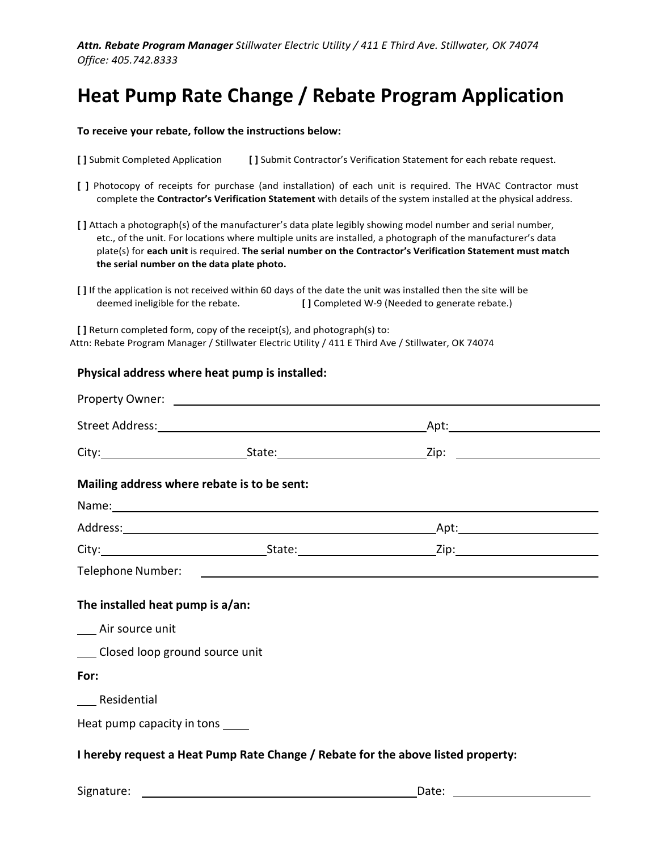*Attn. Rebate Program Manager Stillwater Electric Utility / 411 E Third Ave. Stillwater, OK 74074 Office: 405.742.8333*

## **Heat Pump Rate Change / Rebate Program Application**

#### **To receive your rebate, follow the instructions below:**

- **[ ]** Submit Completed Application **[ ]** Submit Contractor's Verification Statement for each rebate request.
- **[ ]** Photocopy of receipts for purchase (and installation) of each unit is required. The HVAC Contractor must complete the **Contractor's Verification Statement** with details of the system installed at the physical address.
- **[ ]** Attach a photograph(s) of the manufacturer's data plate legibly showing model number and serial number, etc., of the unit. For locations where multiple units are installed, a photograph of the manufacturer's data plate(s) for **each unit** is required. **The serial number on the Contractor's Verification Statement must match the serial number on the data plate photo.**
- **[ ]** If the application is not received within 60 days of the date the unit was installed then the site will be deemed ineligible for the rebate. **[ ]** Completed W-9 (Needed to generate rebate.)

**[ ]** Return completed form, copy of the receipt(s), and photograph(s) to: Attn: Rebate Program Manager / Stillwater Electric Utility / 411 E Third Ave / Stillwater, OK 74074

#### **Physical address where heat pump is installed:**

| Mailing address where rebate is to be sent: |                                                                                  |  |
|---------------------------------------------|----------------------------------------------------------------------------------|--|
|                                             |                                                                                  |  |
|                                             |                                                                                  |  |
|                                             |                                                                                  |  |
|                                             |                                                                                  |  |
| The installed heat pump is a/an:            |                                                                                  |  |
| __ Air source unit                          |                                                                                  |  |
| Closed loop ground source unit              |                                                                                  |  |
| For:                                        |                                                                                  |  |
| Residential                                 |                                                                                  |  |
| Heat pump capacity in tons _____            |                                                                                  |  |
|                                             | I hereby request a Heat Pump Rate Change / Rebate for the above listed property: |  |

Signature: **Date:** Date: **Date:** Date: **Date: Date: Date: Date: Date: Date: Date: Date: Date: Date: Date: Date: Date: Date: Date: Date: Date: Date: Date: Date: Date: Date: Date:**